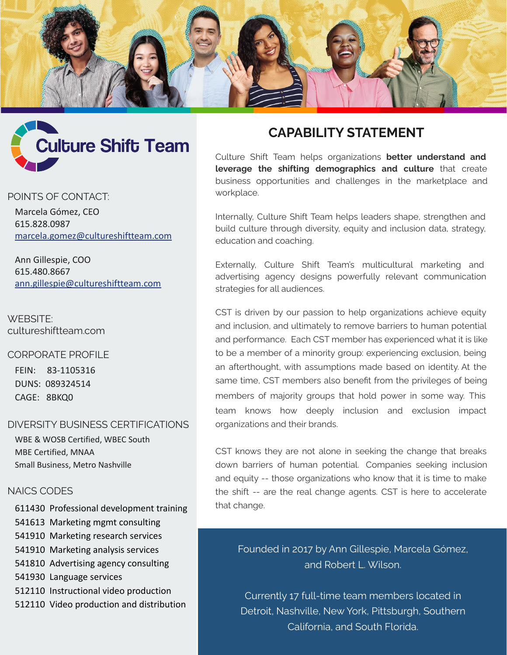



#### POINTS OF CONTACT:

Marcela Gómez, CEO 615.828.0987 [marcela.gomez@cultureshiftteam.com](mailto:marcela.gomez@cultureshiftteam.com)

Ann Gillespie, COO 615.480.8667 [ann.gillespie@cultureshiftteam.com](mailto:ann.gillespie@cultureshiftteam.com)

WEBSITE: cultureshiftteam.com

CORPORATE PROFILE

FEIN: 83-1105316 DUNS: 089324514 CAGE: 8BKQ0

#### DIVERSITY BUSINESS CERTIFICATIONS

WBE & WOSB Certified, WBEC South MBE Certified, MNAA Small Business, Metro Nashville

## NAICS CODES

- 611430 Professional development training
- 541613 Marketing mgmt consulting
- 541910 Marketing research services
- 541910 Marketing analysis services
- 541810 Advertising agency consulting
- 541930 Language services
- 512110 Instructional video production
- 512110 Video production and distribution

# **CAPABILITY STATEMENT**

Culture Shift Team helps organizations **better understand and leverage the shifting demographics and culture** that create business opportunities and challenges in the marketplace and workplace.

Internally, Culture Shift Team helps leaders shape, strengthen and build culture through diversity, equity and inclusion data, strategy, education and coaching.

Externally, Culture Shift Team's multicultural marketing and advertising agency designs powerfully relevant communication strategies for all audiences.

CST is driven by our passion to help organizations achieve equity and inclusion, and ultimately to remove barriers to human potential and performance. Each CST member has experienced what it is like to be a member of a minority group: experiencing exclusion, being an afterthought, with assumptions made based on identity. At the same time, CST members also benefit from the privileges of being members of majority groups that hold power in some way. This team knows how deeply inclusion and exclusion impact organizations and their brands.

CST knows they are not alone in seeking the change that breaks down barriers of human potential. Companies seeking inclusion and equity -- those organizations who know that it is time to make the shift -- are the real change agents. CST is here to accelerate that change.

Founded in 2017 by Ann Gillespie, Marcela Gómez, and Robert L. Wilson.

Currently 17 full-time team members located in Detroit, Nashville, New York, Pittsburgh, Southern California, and South Florida.